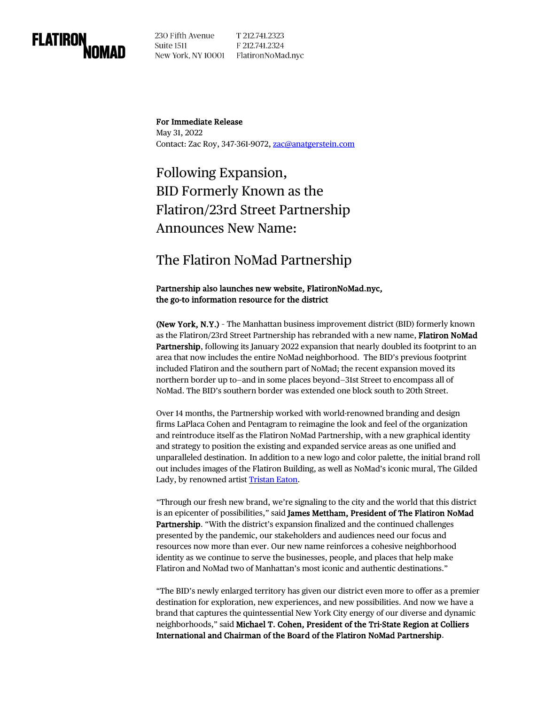

230 Fifth Avenue Suite 1511 New York, NY 10001 FlatironNoMad.nyc

T 212.741.2323 F 212.741.2324

For Immediate Release May 31, 2022 Contact: Zac Roy, 347-361-9072, [zac@anatgerstein.com](mailto:zac@anatgerstein.com)

Following Expansion, BID Formerly Known as the Flatiron/23rd Street Partnership Announces New Name:

## The Flatiron NoMad Partnership

## Partnership also launches new website, FlatironNoMad.nyc, the go-to information resource for the district

(New York, N.Y.) – The Manhattan business improvement district (BID) formerly known as the Flatiron/23rd Street Partnership has rebranded with a new name, Flatiron NoMad Partnership, following its January 2022 expansion that nearly doubled its footprint to an area that now includes the entire NoMad neighborhood. The BID's previous footprint included Flatiron and the southern part of NoMad; the recent expansion moved its northern border up to—and in some places beyond—31st Street to encompass all of NoMad. The BID's southern border was extended one block south to 20th Street.

Over 14 months, the Partnership worked with world-renowned branding and design firms LaPlaca Cohen and Pentagram to reimagine the look and feel of the organization and reintroduce itself as the Flatiron NoMad Partnership, with a new graphical identity and strategy to position the existing and expanded service areas as one unified and unparalleled destination. In addition to a new logo and color palette, the initial brand roll out includes images of the Flatiron Building, as well as NoMad's iconic mural, The Gilded Lady, by renowned artist [Tristan](https://www.tristaneaton.com/) Eaton.

"Through our fresh new brand, we're signaling to the city and the world that this district is an epicenter of possibilities," said James Mettham, President of The Flatiron NoMad Partnership. "With the district's expansion finalized and the continued challenges presented by the pandemic, our stakeholders and audiences need our focus and resources now more than ever. Our new name reinforces a cohesive neighborhood identity as we continue to serve the businesses, people, and places that help make Flatiron and NoMad two of Manhattan's most iconic and authentic destinations."

"The BID's newly enlarged territory has given our district even more to offer as a premier destination for exploration, new experiences, and new possibilities. And now we have a brand that captures the quintessential New York City energy of our diverse and dynamic neighborhoods," said Michael T. Cohen, President of the Tri-State Region at Colliers International and Chairman of the Board of the Flatiron NoMad Partnership.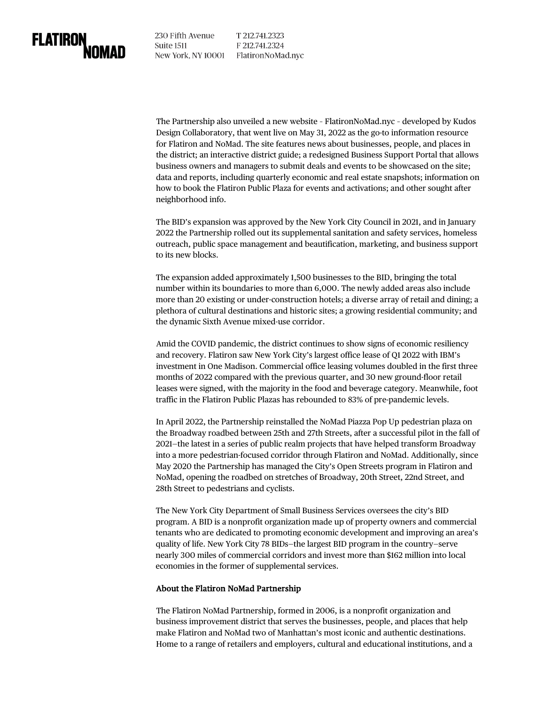230 Fifth Avenue Suite 1511 New York, NY 10001 Flatiron NoMad.nyc

T 212.741.2323 F 212.741.2324

The Partnership also unveiled a new website – FlatironNoMad.nyc – developed by Kudos Design Collaboratory, that went live on May 31, 2022 as the go-to information resource for Flatiron and NoMad. The site features news about businesses, people, and places in the district; an interactive district guide; a redesigned Business Support Portal that allows business owners and managers to submit deals and events to be showcased on the site; data and reports, including quarterly economic and real estate snapshots; information on how to book the Flatiron Public Plaza for events and activations; and other sought after neighborhood info.

The BID's expansion was approved by the New York City Council in 2021, and in January 2022 the Partnership rolled out its supplemental sanitation and safety services, homeless outreach, public space management and beautification, marketing, and business support to its new blocks.

The expansion added approximately 1,500 businesses to the BID, bringing the total number within its boundaries to more than 6,000. The newly added areas also include more than 20 existing or under-construction hotels; a diverse array of retail and dining; a plethora of cultural destinations and historic sites; a growing residential community; and the dynamic Sixth Avenue mixed-use corridor.

Amid the COVID pandemic, the district continues to show signs of economic resiliency and recovery. Flatiron saw New York City's largest office lease of Q1 2022 with IBM's investment in One Madison. Commercial office leasing volumes doubled in the first three months of 2022 compared with the previous quarter, and 30 new ground-floor retail leases were signed, with the majority in the food and beverage category. Meanwhile, foot traffic in the Flatiron Public Plazas has rebounded to 83% of pre-pandemic levels.

In April 2022, the Partnership reinstalled the NoMad Piazza Pop Up pedestrian plaza on the Broadway roadbed between 25th and 27th Streets, after a successful pilot in the fall of 2021—the latest in a series of public realm projects that have helped transform Broadway into a more pedestrian-focused corridor through Flatiron and NoMad. Additionally, since May 2020 the Partnership has managed the City's Open Streets program in Flatiron and NoMad, opening the roadbed on stretches of Broadway, 20th Street, 22nd Street, and 28th Street to pedestrians and cyclists.

The New York City Department of Small Business Services oversees the city's BID program. A BID is a nonprofit organization made up of property owners and commercial tenants who are dedicated to promoting economic development and improving an area's quality of life. New York City 78 BIDs—the largest BID program in the country—serve nearly 300 miles of commercial corridors and invest more than \$162 million into local economies in the former of supplemental services.

## About the Flatiron NoMad Partnership

The Flatiron NoMad Partnership, formed in 2006, is a nonprofit organization and business improvement district that serves the businesses, people, and places that help make Flatiron and NoMad two of Manhattan's most iconic and authentic destinations. Home to a range of retailers and employers, cultural and educational institutions, and a